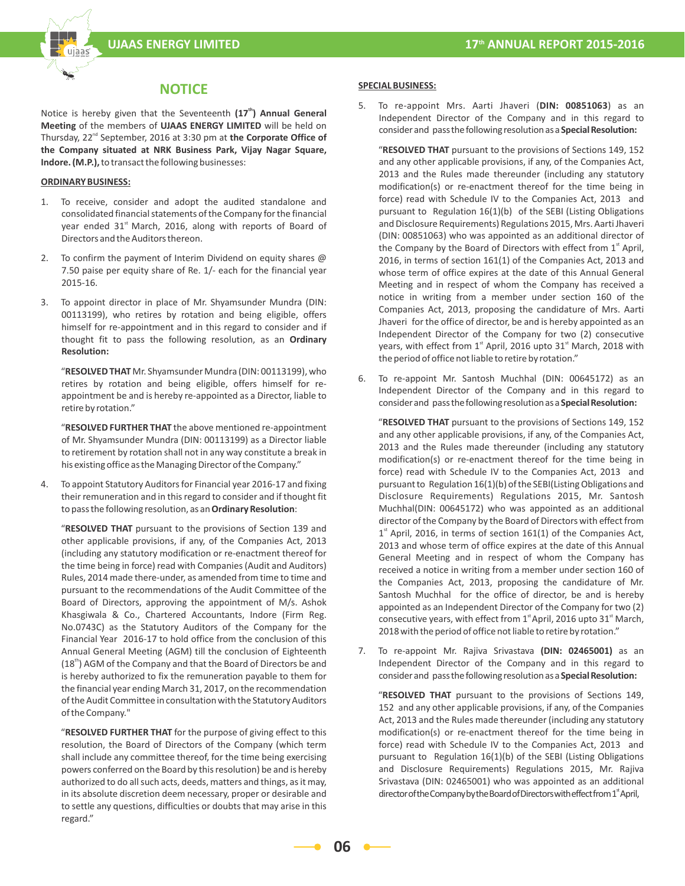

# **NOTICE**

Notice is hereby given that the Seventeenth (17<sup>th</sup>) Annual General **Meeting** of the members of **UJAAS ENERGY LIMITED** will be held on Thursday, 22<sup>nd</sup> September, 2016 at 3:30 pm at **the Corporate Office of the Company situated at NRK Business Park, Vijay Nagar Square, Indore. (M.P.),** to transact the following businesses:

#### **ORDINARY BUSINESS:**

- 1. To receive, consider and adopt the audited standalone and consolidated financial statements of the Company for the financial year ended 31<sup>st</sup> March, 2016, along with reports of Board of Directors and the Auditors thereon.
- 2. To confirm the payment of Interim Dividend on equity shares @ 7.50 paise per equity share of Re. 1/- each for the financial year 2015-16.
- 3. To appoint director in place of Mr. Shyamsunder Mundra (DIN: 00113199), who retires by rotation and being eligible, offers himself for re-appointment and in this regard to consider and if thought fit to pass the following resolution, as an **Ordinary Resolution:**

 "**RESOLVED THAT** Mr. Shyamsunder Mundra (DIN: 00113199), who retires by rotation and being eligible, offers himself for reappointment be and is hereby re-appointed as a Director, liable to retire by rotation."

 "**RESOLVED FURTHER THAT** the above mentioned re-appointment of Mr. Shyamsunder Mundra (DIN: 00113199) as a Director liable to retirement by rotation shall not in any way constitute a break in his existing office as the Managing Director of the Company."

4. To appoint Statutory Auditors for Financial year 2016-17 and fixing their remuneration and in this regard to consider and if thought fit to pass the following resolution, as an **Ordinary Resolution**:

 "**RESOLVED THAT** pursuant to the provisions of Section 139 and other applicable provisions, if any, of the Companies Act, 2013 (including any statutory modification or re-enactment thereof for the time being in force) read with Companies (Audit and Auditors) Rules, 2014 made there-under, as amended from time to time and pursuant to the recommendations of the Audit Committee of the Board of Directors, approving the appointment of M/s. Ashok Khasgiwala & Co., Chartered Accountants, Indore (Firm Reg. No.0743C) as the Statutory Auditors of the Company for the Financial Year 2016-17 to hold office from the conclusion of this Annual General Meeting (AGM) till the conclusion of Eighteenth (18<sup>th</sup>) AGM of the Company and that the Board of Directors be and is hereby authorized to fix the remuneration payable to them for the financial year ending March 31, 2017, on the recommendation of the Audit Committee in consultation with the Statutory Auditors of the Company."

 "**RESOLVED FURTHER THAT** for the purpose of giving effect to this resolution, the Board of Directors of the Company (which term shall include any committee thereof, for the time being exercising powers conferred on the Board by this resolution) be and is hereby authorized to do all such acts, deeds, matters and things, as it may, in its absolute discretion deem necessary, proper or desirable and to settle any questions, difficulties or doubts that may arise in this regard."

#### **SPECIAL BUSINESS:**

5. To re-appoint Mrs. Aarti Jhaveri (**DIN: 00851063**) as an Independent Director of the Company and in this regard to consider and pass the following resolution as a **Special Resolution:**

 "**RESOLVED THAT** pursuant to the provisions of Sections 149, 152 and any other applicable provisions, if any, of the Companies Act, 2013 and the Rules made thereunder (including any statutory modification(s) or re-enactment thereof for the time being in force) read with Schedule IV to the Companies Act, 2013 and pursuant to Regulation 16(1)(b) of the SEBI (Listing Obligations and Disclosure Requirements) Regulations 2015, Mrs. Aarti Jhaveri (DIN: 00851063) who was appointed as an additional director of the Company by the Board of Directors with effect from  $1<sup>st</sup>$  April, 2016, in terms of section 161(1) of the Companies Act, 2013 and whose term of office expires at the date of this Annual General Meeting and in respect of whom the Company has received a notice in writing from a member under section 160 of the Companies Act, 2013, proposing the candidature of Mrs. Aarti Jhaveri for the office of director, be and is hereby appointed as an Independent Director of the Company for two (2) consecutive years, with effect from  $1<sup>st</sup>$  April, 2016 upto 31 $<sup>st</sup>$  March, 2018 with</sup> the period of office not liable to retire by rotation."

6. To re-appoint Mr. Santosh Muchhal (DIN: 00645172) as an Independent Director of the Company and in this regard to consider and pass the following resolution as a **Special Resolution:**

 "**RESOLVED THAT** pursuant to the provisions of Sections 149, 152 and any other applicable provisions, if any, of the Companies Act, 2013 and the Rules made thereunder (including any statutory modification(s) or re-enactment thereof for the time being in force) read with Schedule IV to the Companies Act, 2013 and pursuant to Regulation 16(1)(b) of the SEBI(Listing Obligations and Disclosure Requirements) Regulations 2015, Mr. Santosh Muchhal(DIN: 00645172) who was appointed as an additional director of the Company by the Board of Directors with effect from  $1<sup>st</sup>$  April, 2016, in terms of section 161(1) of the Companies Act, 2013 and whose term of office expires at the date of this Annual General Meeting and in respect of whom the Company has received a notice in writing from a member under section 160 of the Companies Act, 2013, proposing the candidature of Mr. Santosh Muchhal for the office of director, be and is hereby appointed as an Independent Director of the Company for two (2) consecutive years, with effect from  $1<sup>st</sup>$  April, 2016 upto 31 $<sup>st</sup>$  March,</sup> 2018 with the period of office not liable to retire by rotation."

7. To re-appoint Mr. Rajiva Srivastava **(DIN: 02465001)** as an Independent Director of the Company and in this regard to consider and pass the following resolution as a **Special Resolution:**

 "**RESOLVED THAT** pursuant to the provisions of Sections 149, 152 and any other applicable provisions, if any, of the Companies Act, 2013 and the Rules made thereunder (including any statutory modification(s) or re-enactment thereof for the time being in force) read with Schedule IV to the Companies Act, 2013 and pursuant to Regulation 16(1)(b) of the SEBI (Listing Obligations and Disclosure Requirements) Regulations 2015, Mr. Rajiva Srivastava (DIN: 02465001) who was appointed as an additional director of the Company by the Board of Directors with effect from 1<sup>x</sup> April,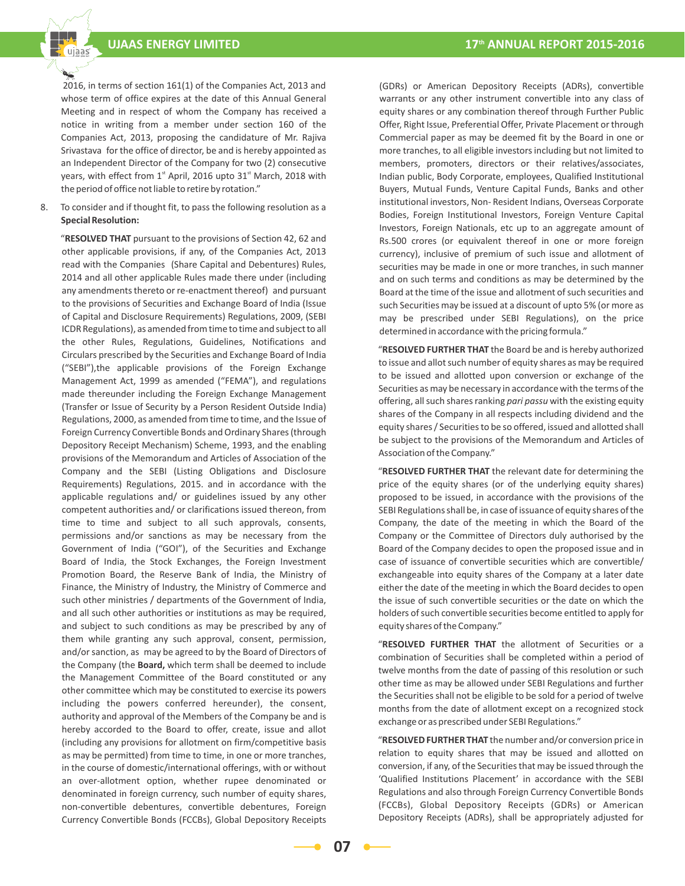2016, in terms of section 161(1) of the Companies Act, 2013 and whose term of office expires at the date of this Annual General Meeting and in respect of whom the Company has received a notice in writing from a member under section 160 of the Companies Act, 2013, proposing the candidature of Mr. Rajiva Srivastava for the office of director, be and is hereby appointed as an Independent Director of the Company for two (2) consecutive years, with effect from  $1<sup>st</sup>$  April, 2016 upto 31 $<sup>st</sup>$  March, 2018 with</sup> the period of office not liable to retire by rotation."

8. To consider and if thought fit, to pass the following resolution as a **Special Resolution:**

 "**RESOLVED THAT** pursuant to the provisions of Section 42, 62 and other applicable provisions, if any, of the Companies Act, 2013 read with the Companies (Share Capital and Debentures) Rules, 2014 and all other applicable Rules made there under (including any amendments thereto or re-enactment thereof) and pursuant to the provisions of Securities and Exchange Board of India (Issue of Capital and Disclosure Requirements) Regulations, 2009, (SEBI ICDR Regulations), as amended from time to time and subject to all the other Rules, Regulations, Guidelines, Notifications and Circulars prescribed by the Securities and Exchange Board of India ("SEBI"),the applicable provisions of the Foreign Exchange Management Act, 1999 as amended ("FEMA"), and regulations made thereunder including the Foreign Exchange Management (Transfer or Issue of Security by a Person Resident Outside India) Regulations, 2000, as amended from time to time, and the Issue of Foreign Currency Convertible Bonds and Ordinary Shares (through Depository Receipt Mechanism) Scheme, 1993, and the enabling provisions of the Memorandum and Articles of Association of the Company and the SEBI (Listing Obligations and Disclosure Requirements) Regulations, 2015. and in accordance with the applicable regulations and/ or guidelines issued by any other competent authorities and/ or clarifications issued thereon, from time to time and subject to all such approvals, consents, permissions and/or sanctions as may be necessary from the Government of India ("GOI"), of the Securities and Exchange Board of India, the Stock Exchanges, the Foreign Investment Promotion Board, the Reserve Bank of India, the Ministry of Finance, the Ministry of Industry, the Ministry of Commerce and such other ministries / departments of the Government of India, and all such other authorities or institutions as may be required, and subject to such conditions as may be prescribed by any of them while granting any such approval, consent, permission, and/or sanction, as may be agreed to by the Board of Directors of the Company (the **Board,** which term shall be deemed to include the Management Committee of the Board constituted or any other committee which may be constituted to exercise its powers including the powers conferred hereunder), the consent, authority and approval of the Members of the Company be and is hereby accorded to the Board to offer, create, issue and allot (including any provisions for allotment on firm/competitive basis as may be permitted) from time to time, in one or more tranches, in the course of domestic/international offerings, with or without an over-allotment option, whether rupee denominated or denominated in foreign currency, such number of equity shares, non-convertible debentures, convertible debentures, Foreign Currency Convertible Bonds (FCCBs), Global Depository Receipts

(GDRs) or American Depository Receipts (ADRs), convertible warrants or any other instrument convertible into any class of equity shares or any combination thereof through Further Public Offer, Right Issue, Preferential Offer, Private Placement or through Commercial paper as may be deemed fit by the Board in one or more tranches, to all eligible investors including but not limited to members, promoters, directors or their relatives/associates, Indian public, Body Corporate, employees, Qualified Institutional Buyers, Mutual Funds, Venture Capital Funds, Banks and other institutional investors, Non- Resident Indians, Overseas Corporate Bodies, Foreign Institutional Investors, Foreign Venture Capital Investors, Foreign Nationals, etc up to an aggregate amount of Rs.500 crores (or equivalent thereof in one or more foreign currency), inclusive of premium of such issue and allotment of securities may be made in one or more tranches, in such manner and on such terms and conditions as may be determined by the Board at the time of the issue and allotment of such securities and such Securities may be issued at a discount of upto 5% (or more as may be prescribed under SEBI Regulations), on the price determined in accordance with the pricing formula."

 "**RESOLVED FURTHER THAT** the Board be and is hereby authorized to issue and allot such number of equity shares as may be required to be issued and allotted upon conversion or exchange of the Securities as may be necessary in accordance with the terms of the offering, all such shares ranking *pari passu* with the existing equity shares of the Company in all respects including dividend and the equity shares / Securities to be so offered, issued and allotted shall be subject to the provisions of the Memorandum and Articles of Association of the Company."

 "**RESOLVED FURTHER THAT** the relevant date for determining the price of the equity shares (or of the underlying equity shares) proposed to be issued, in accordance with the provisions of the SEBI Regulations shall be, in case of issuance of equity shares of the Company, the date of the meeting in which the Board of the Company or the Committee of Directors duly authorised by the Board of the Company decides to open the proposed issue and in case of issuance of convertible securities which are convertible/ exchangeable into equity shares of the Company at a later date either the date of the meeting in which the Board decides to open the issue of such convertible securities or the date on which the holders of such convertible securities become entitled to apply for equity shares of the Company."

 "**RESOLVED FURTHER THAT** the allotment of Securities or a combination of Securities shall be completed within a period of twelve months from the date of passing of this resolution or such other time as may be allowed under SEBI Regulations and further the Securities shall not be eligible to be sold for a period of twelve months from the date of allotment except on a recognized stock exchange or as prescribed under SEBI Regulations."

 "**RESOLVED FURTHER THAT** the number and/or conversion price in relation to equity shares that may be issued and allotted on conversion, if any, of the Securities that may be issued through the 'Qualified Institutions Placement' in accordance with the SEBI Regulations and also through Foreign Currency Convertible Bonds (FCCBs), Global Depository Receipts (GDRs) or American Depository Receipts (ADRs), shall be appropriately adjusted for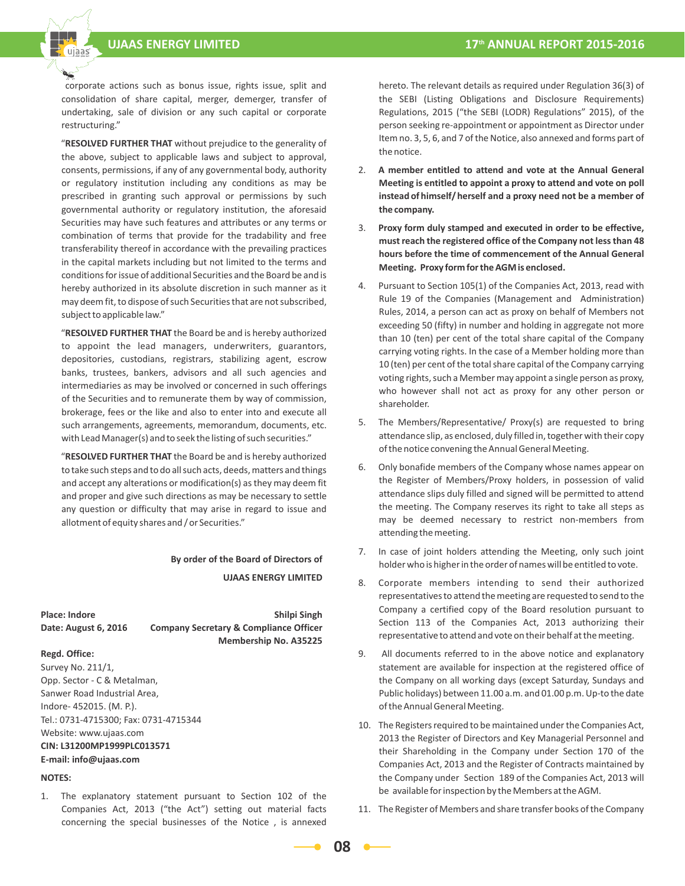

 "**RESOLVED FURTHER THAT** without prejudice to the generality of the above, subject to applicable laws and subject to approval, consents, permissions, if any of any governmental body, authority or regulatory institution including any conditions as may be prescribed in granting such approval or permissions by such governmental authority or regulatory institution, the aforesaid Securities may have such features and attributes or any terms or combination of terms that provide for the tradability and free transferability thereof in accordance with the prevailing practices in the capital markets including but not limited to the terms and conditions for issue of additional Securities and the Board be and is hereby authorized in its absolute discretion in such manner as it may deem fit, to dispose of such Securities that are not subscribed, subject to applicable law."

 "**RESOLVED FURTHER THAT** the Board be and is hereby authorized to appoint the lead managers, underwriters, guarantors, depositories, custodians, registrars, stabilizing agent, escrow banks, trustees, bankers, advisors and all such agencies and intermediaries as may be involved or concerned in such offerings of the Securities and to remunerate them by way of commission, brokerage, fees or the like and also to enter into and execute all such arrangements, agreements, memorandum, documents, etc. with Lead Manager(s) and to seek the listing of such securities."

 "**RESOLVED FURTHER THAT** the Board be and is hereby authorized to take such steps and to do all such acts, deeds, matters and things and accept any alterations or modification(s) as they may deem fit and proper and give such directions as may be necessary to settle any question or difficulty that may arise in regard to issue and allotment of equity shares and / or Securities."

> **By order of the Board of Directors of UJAAS ENERGY LIMITED**

**Place:** Indore **Shilpi Singh Date: August 6, 2016 Company Secretary & Compliance Officer Membership No. A35225**

#### **Regd. Office:**

Survey No. 211/1, Opp. Sector - C & Metalman, Sanwer Road Industrial Area, Indore- 452015. (M. P.). Tel.: 0731-4715300; Fax: 0731-4715344 Website: www.ujaas.com **CIN: L31200MP1999PLC013571 E-mail: info@ujaas.com**

#### **NOTES:**

1. The explanatory statement pursuant to Section 102 of the Companies Act, 2013 ("the Act") setting out material facts concerning the special businesses of the Notice , is annexed

hereto. The relevant details as required under Regulation 36(3) of the SEBI (Listing Obligations and Disclosure Requirements) Regulations, 2015 ("the SEBI (LODR) Regulations" 2015), of the person seeking re-appointment or appointment as Director under Item no. 3, 5, 6, and 7 of the Notice, also annexed and forms part of the notice.

- 2. **A member entitled to attend and vote at the Annual General Meeting is entitled to appoint a proxy to attend and vote on poll instead of himself/ herself and a proxy need not be a member of the company.**
- 3. **Proxy form duly stamped and executed in order to be effective, must reach the registered office of the Company not less than 48 hours before the time of commencement of the Annual General Meeting. Proxy form for the AGM is enclosed.**
- 4. Pursuant to Section 105(1) of the Companies Act, 2013, read with Rule 19 of the Companies (Management and Administration) Rules, 2014, a person can act as proxy on behalf of Members not exceeding 50 (fifty) in number and holding in aggregate not more than 10 (ten) per cent of the total share capital of the Company carrying voting rights. In the case of a Member holding more than 10 (ten) per cent of the total share capital of the Company carrying voting rights, such a Member may appoint a single person as proxy, who however shall not act as proxy for any other person or shareholder.
- 5. The Members/Representative/ Proxy(s) are requested to bring attendance slip, as enclosed, duly filled in, together with their copy of the notice convening the Annual General Meeting.
- 6. Only bonafide members of the Company whose names appear on the Register of Members/Proxy holders, in possession of valid attendance slips duly filled and signed will be permitted to attend the meeting. The Company reserves its right to take all steps as may be deemed necessary to restrict non-members from attending the meeting.
- 7. In case of joint holders attending the Meeting, only such joint holder who is higher in the order of names will be entitled to vote.
- 8. Corporate members intending to send their authorized representatives to attend the meeting are requested to send to the Company a certified copy of the Board resolution pursuant to Section 113 of the Companies Act, 2013 authorizing their representative to attend and vote on their behalf at the meeting.
- 9. All documents referred to in the above notice and explanatory statement are available for inspection at the registered office of the Company on all working days (except Saturday, Sundays and Public holidays) between 11.00 a.m. and 01.00 p.m. Up-to the date of the Annual General Meeting.
- 10. The Registers required to be maintained under the Companies Act, 2013 the Register of Directors and Key Managerial Personnel and their Shareholding in the Company under Section 170 of the Companies Act, 2013 and the Register of Contracts maintained by the Company under Section 189 of the Companies Act, 2013 will be available for inspection by the Members at the AGM.
- 11. The Register of Members and share transfer books of the Company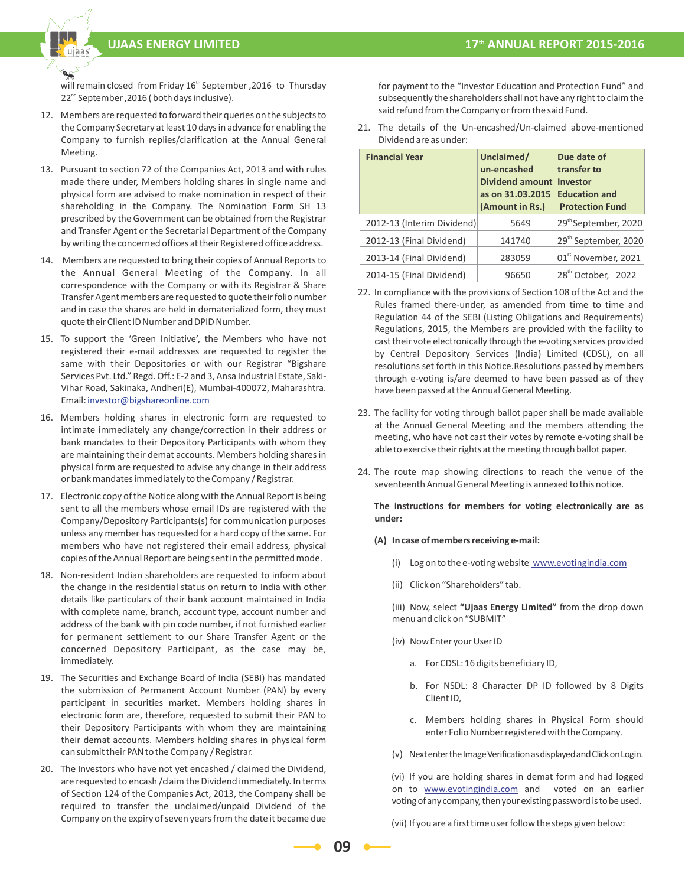

will remain closed from Friday 16<sup>th</sup> September ,2016 to Thursday 22<sup>nd</sup> September ,2016 ( both days inclusive).

- 12. Members are requested to forward their queries on the subjects to the Company Secretary at least 10 days in advance for enabling the Company to furnish replies/clarification at the Annual General Meeting.
- 13. Pursuant to section 72 of the Companies Act, 2013 and with rules made there under, Members holding shares in single name and physical form are advised to make nomination in respect of their shareholding in the Company. The Nomination Form SH 13 prescribed by the Government can be obtained from the Registrar and Transfer Agent or the Secretarial Department of the Company by writing the concerned offices at their Registered office address.
- 14. Members are requested to bring their copies of Annual Reports to the Annual General Meeting of the Company. In all correspondence with the Company or with its Registrar & Share Transfer Agent members are requested to quote their folio number and in case the shares are held in dematerialized form, they must quote their Client ID Number and DPID Number.
- 15. To support the 'Green Initiative', the Members who have not registered their e-mail addresses are requested to register the same with their Depositories or with our Registrar "Bigshare Services Pvt. Ltd." Regd. Off.: E-2 and 3, Ansa Industrial Estate, Saki-Vihar Road, Sakinaka, Andheri(E), Mumbai-400072, Maharashtra. Email: investor@bigshareonline.com
- 16. Members holding shares in electronic form are requested to intimate immediately any change/correction in their address or bank mandates to their Depository Participants with whom they are maintaining their demat accounts. Members holding shares in physical form are requested to advise any change in their address or bank mandates immediately to the Company / Registrar.
- 17. Electronic copy of the Notice along with the Annual Report is being sent to all the members whose email IDs are registered with the Company/Depository Participants(s) for communication purposes unless any member has requested for a hard copy of the same. For members who have not registered their email address, physical copies of the Annual Report are being sent in the permitted mode.
- 18. Non-resident Indian shareholders are requested to inform about the change in the residential status on return to India with other details like particulars of their bank account maintained in India with complete name, branch, account type, account number and address of the bank with pin code number, if not furnished earlier for permanent settlement to our Share Transfer Agent or the concerned Depository Participant, as the case may be, immediately.
- 19. The Securities and Exchange Board of India (SEBI) has mandated the submission of Permanent Account Number (PAN) by every participant in securities market. Members holding shares in electronic form are, therefore, requested to submit their PAN to their Depository Participants with whom they are maintaining their demat accounts. Members holding shares in physical form can submit their PAN to the Company / Registrar.
- 20. The Investors who have not yet encashed / claimed the Dividend, are requested to encash /claim the Dividend immediately. In terms of Section 124 of the Companies Act, 2013, the Company shall be required to transfer the unclaimed/unpaid Dividend of the Company on the expiry of seven years from the date it became due

for payment to the "Investor Education and Protection Fund" and subsequently the shareholders shall not have any right to claim the said refund from the Company or from the said Fund.

21. The details of the Un-encashed/Un-claimed above-mentioned Dividend are as under:

| <b>Financial Year</b>      | Unclaimed/<br>un-encashed<br>Dividend amount<br>as on 31.03.2015<br>(Amount in Rs.) | Due date of<br>transfer to<br>Investor<br><b>Education and</b><br><b>Protection Fund</b> |  |
|----------------------------|-------------------------------------------------------------------------------------|------------------------------------------------------------------------------------------|--|
| 2012-13 (Interim Dividend) | 5649                                                                                | 29 <sup>th</sup> September, 2020                                                         |  |
| 2012-13 (Final Dividend)   | 141740                                                                              | 29 <sup>th</sup> September, 2020                                                         |  |
| 2013-14 (Final Dividend)   | 283059                                                                              | 01st November, 2021                                                                      |  |
| 2014-15 (Final Dividend)   | 96650                                                                               | 28 <sup>th</sup> October, 2022                                                           |  |

- 22. In compliance with the provisions of Section 108 of the Act and the Rules framed there-under, as amended from time to time and Regulation 44 of the SEBI (Listing Obligations and Requirements) Regulations, 2015, the Members are provided with the facility to cast their vote electronically through the e-voting services provided by Central Depository Services (India) Limited (CDSL), on all resolutions set forth in this Notice.Resolutions passed by members through e-voting is/are deemed to have been passed as of they have been passed at the Annual General Meeting.
- 23. The facility for voting through ballot paper shall be made available at the Annual General Meeting and the members attending the meeting, who have not cast their votes by remote e-voting shall be able to exercise their rights at the meeting through ballot paper.
- 24. The route map showing directions to reach the venue of the seventeenth Annual General Meeting is annexed to this notice.

**The instructions for members for voting electronically are as under:**

- **(A) In case of members receiving e-mail:**
	- (i) Log on to the e-voting website www.evotingindia.com
	- (ii) Click on "Shareholders" tab.

 (iii) Now, select **"Ujaas Energy Limited"** from the drop down menu and click on "SUBMIT"

- (iv) Now Enter your User ID
	- a. For CDSL: 16 digits beneficiary ID,
	- b. For NSDL: 8 Character DP ID followed by 8 Digits Client ID,
	- c. Members holding shares in Physical Form should enter Folio Number registered with the Company.
- (v) Next enter the Image Verification as displayed and Click on Login.

 (vi) If you are holding shares in demat form and had logged on to **www.evotingindia.com** and voted on an earlier voting of any company, then your existing password is to be used.

(vii) If you are a first time user follow the steps given below: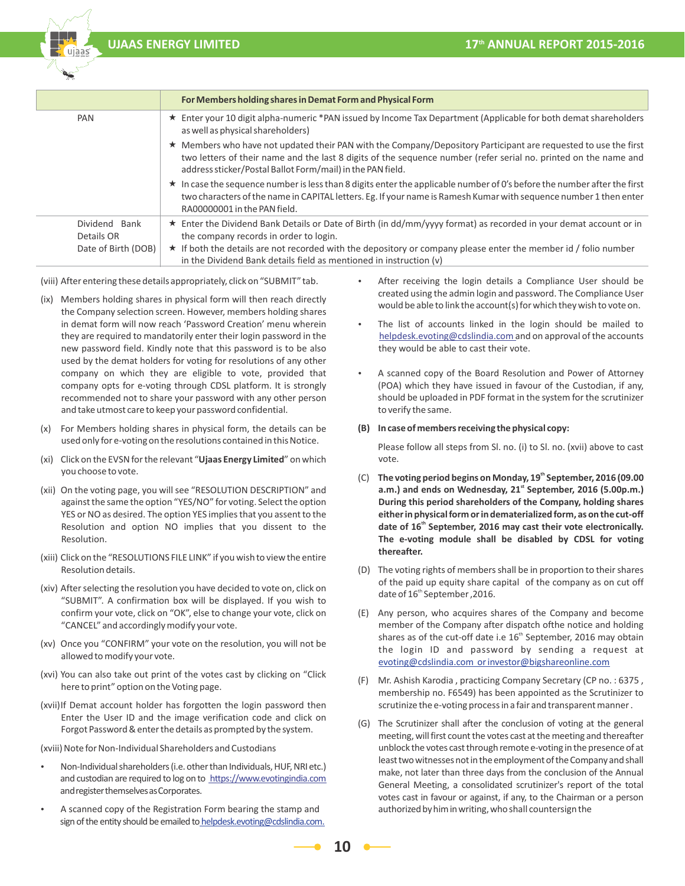

|                     | For Members holding shares in Demat Form and Physical Form                                                                                                                                                                                                                                        |
|---------------------|---------------------------------------------------------------------------------------------------------------------------------------------------------------------------------------------------------------------------------------------------------------------------------------------------|
| PAN                 | ★ Enter your 10 digit alpha-numeric *PAN issued by Income Tax Department (Applicable for both demat shareholders<br>as well as physical shareholders)                                                                                                                                             |
|                     | ★ Members who have not updated their PAN with the Company/Depository Participant are requested to use the first<br>two letters of their name and the last 8 digits of the sequence number (refer serial no. printed on the name and<br>address sticker/Postal Ballot Form/mail) in the PAN field. |
|                     | * In case the sequence number is less than 8 digits enter the applicable number of 0's before the number after the first<br>two characters of the name in CAPITAL letters. Eg. If your name is Ramesh Kumar with sequence number 1 then enter<br>RA00000001 in the PAN field.                     |
| Dividend Bank       | ★ Enter the Dividend Bank Details or Date of Birth (in dd/mm/yyyy format) as recorded in your demat account or in                                                                                                                                                                                 |
| Details OR          | the company records in order to login.                                                                                                                                                                                                                                                            |
| Date of Birth (DOB) | ★ If both the details are not recorded with the depository or company please enter the member id / folio number<br>in the Dividend Bank details field as mentioned in instruction (v)                                                                                                             |

(viii) After entering these details appropriately, click on "SUBMIT" tab.

- (ix) Members holding shares in physical form will then reach directly the Company selection screen. However, members holding shares in demat form will now reach 'Password Creation' menu wherein they are required to mandatorily enter their login password in the new password field. Kindly note that this password is to be also used by the demat holders for voting for resolutions of any other company on which they are eligible to vote, provided that company opts for e-voting through CDSL platform. It is strongly recommended not to share your password with any other person and take utmost care to keep your password confidential.
- (x) For Members holding shares in physical form, the details can be used only for e-voting on the resolutions contained in this Notice.
- (xi) Click on the EVSN for the relevant "**Ujaas Energy Limited**" on which you choose to vote.
- (xii) On the voting page, you will see "RESOLUTION DESCRIPTION" and against the same the option "YES/NO" for voting. Select the option YES or NO as desired. The option YES implies that you assent to the Resolution and option NO implies that you dissent to the Resolution.
- (xiii) Click on the "RESOLUTIONS FILE LINK" if you wish to view the entire Resolution details.
- (xiv) After selecting the resolution you have decided to vote on, click on "SUBMIT". A confirmation box will be displayed. If you wish to confirm your vote, click on "OK", else to change your vote, click on "CANCEL" and accordingly modify your vote.
- (xv) Once you "CONFIRM" your vote on the resolution, you will not be allowed to modify your vote.
- (xvi) You can also take out print of the votes cast by clicking on "Click here to print" option on the Voting page.
- (xvii) If Demat account holder has forgotten the login password then Enter the User ID and the image verification code and click on Forgot Password & enter the details as prompted by the system.

(xviii) Note for Non-Individual Shareholders and Custodians

- y Non-Individual shareholders (i.e. other than Individuals, HUF, NRI etc.) and custodian are required to log on to https://www.evotingindia.com and register themselves as Corporates.
- A scanned copy of the Registration Form bearing the stamp and sign of the entity should be emailed to helpdesk.evoting@cdslindia.com.
- After receiving the login details a Compliance User should be created using the admin login and password. The Compliance User would be able to link the account(s) for which they wish to vote on.
- The list of accounts linked in the login should be mailed to helpdesk.evoting@cdslindia.com and on approval of the accounts they would be able to cast their vote.
- A scanned copy of the Board Resolution and Power of Attorney (POA) which they have issued in favour of the Custodian, if any, should be uploaded in PDF format in the system for the scrutinizer to verify the same.

#### **(B) In case of members receiving the physical copy:**

 Please follow all steps from Sl. no. (i) to Sl. no. (xvii) above to cast vote.

- (C) The voting period begins on Monday, 19<sup>th</sup> September, 2016 (09.00 a.m.) and ends on Wednesday, 21<sup>st</sup> September, 2016 (5.00p.m.) **During this period shareholders of the Company, holding shares**  either in physical form or in dematerialized form, as on the cut-off<br>date of 16<sup>th</sup> September, 2016 may cast their vote electronically. **The e-voting module shall be disabled by CDSL for voting thereafter.**
- (D) The voting rights of members shall be in proportion to their shares of the paid up equity share capital of the company as on cut off date of 16<sup>th</sup> September, 2016.
- (E) Any person, who acquires shares of the Company and become member of the Company after dispatch ofthe notice and holding shares as of the cut-off date i.e  $16<sup>th</sup>$  September, 2016 may obtain the login ID and password by sending a request at evoting@cdslindia.com or investor@bigshareonline.com
- (F) Mr. Ashish Karodia , practicing Company Secretary (CP no. : 6375 , membership no. F6549) has been appointed as the Scrutinizer to scrutinize the e-voting process in a fair and transparent manner .
- (G) The Scrutinizer shall after the conclusion of voting at the general meeting, will first count the votes cast at the meeting and thereafter unblock the votes cast through remote e-voting in the presence of at least two witnesses not in the employment of the Company and shall make, not later than three days from the conclusion of the Annual General Meeting, a consolidated scrutinizer's report of the total votes cast in favour or against, if any, to the Chairman or a person authorized by him in writing, who shall countersign the

**10**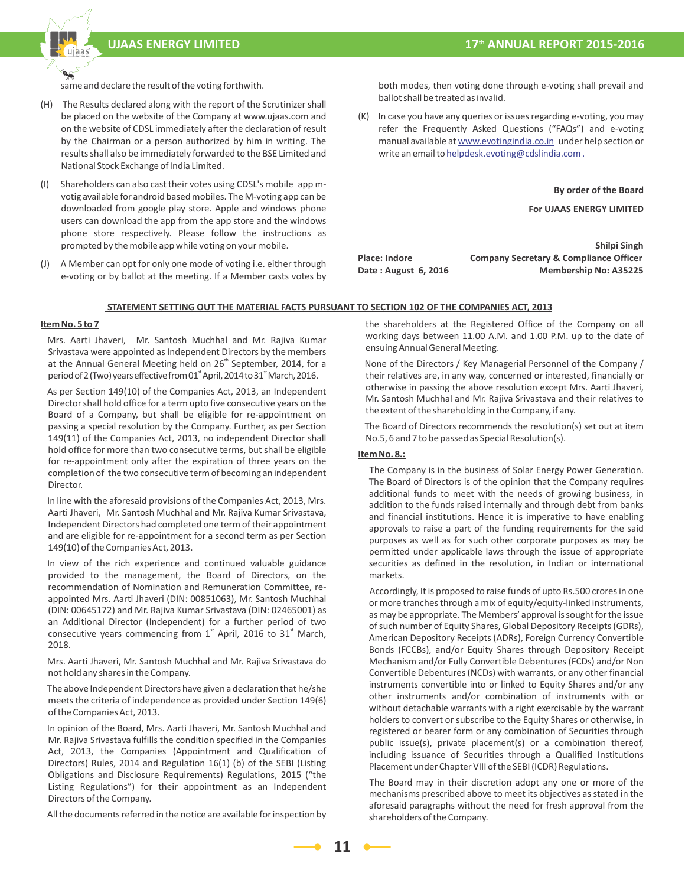

same and declare the result of the voting forthwith.

- (H) The Results declared along with the report of the Scrutinizer shall be placed on the website of the Company at www.ujaas.com and on the website of CDSL immediately after the declaration of result by the Chairman or a person authorized by him in writing. The results shall also be immediately forwarded to the BSE Limited and National Stock Exchange of India Limited.
- (I) Shareholders can also cast their votes using CDSL's mobile app mvotig available for android based mobiles. The M-voting app can be downloaded from google play store. Apple and windows phone users can download the app from the app store and the windows phone store respectively. Please follow the instructions as prompted by the mobile app while voting on your mobile.
- (J) A Member can opt for only one mode of voting i.e. either through e-voting or by ballot at the meeting. If a Member casts votes by

both modes, then voting done through e-voting shall prevail and ballot shall be treated as invalid.

(K) In case you have any queries or issues regarding e-voting, you may refer the Frequently Asked Questions ("FAQs") and e-voting manual available at www.evotingindia.co.in under help section or write an email to helpdesk.evoting@cdslindia.com.

**By order of the Board** 

 **For UJAAS ENERGY LIMITED** 

 **Shilpi Singh Place: Indore Company Secretary & Compliance Officer** Date : August 6, 2016 Membership No: A35225

#### **STATEMENT SETTING OUT THE MATERIAL FACTS PURSUANT TO SECTION 102 OF THE COMPANIES ACT, 2013**

#### **Item No. 5 to 7**

 Mrs. Aarti Jhaveri, Mr. Santosh Muchhal and Mr. Rajiva Kumar Srivastava were appointed as Independent Directors by the members<br>at the Annual General Meeting held on 26<sup>th</sup> September, 2014, for a<br>period of 2 (Two) years effective from 01<sup>\*</sup> April, 2014 to 31<sup>\*</sup> March, 2016.

 As per Section 149(10) of the Companies Act, 2013, an Independent Director shall hold office for a term upto five consecutive years on the Board of a Company, but shall be eligible for re-appointment on passing a special resolution by the Company. Further, as per Section 149(11) of the Companies Act, 2013, no independent Director shall hold office for more than two consecutive terms, but shall be eligible for re-appointment only after the expiration of three years on the completion of the two consecutive term of becoming an independent Director.

 In line with the aforesaid provisions of the Companies Act, 2013, Mrs. Aarti Jhaveri, Mr. Santosh Muchhal and Mr. Rajiva Kumar Srivastava, Independent Directors had completed one term of their appointment and are eligible for re-appointment for a second term as per Section 149(10) of the Companies Act, 2013.

 In view of the rich experience and continued valuable guidance provided to the management, the Board of Directors, on the recommendation of Nomination and Remuneration Committee, reappointed Mrs. Aarti Jhaveri (DIN: 00851063), Mr. Santosh Muchhal (DIN: 00645172) and Mr. Rajiva Kumar Srivastava (DIN: 02465001) as an Additional Director (Independent) for a further period of two consecutive years commencing from  $1<sup>st</sup>$  April, 2016 to 31<sup>st</sup> March, 2018.

 Mrs. Aarti Jhaveri, Mr. Santosh Muchhal and Mr. Rajiva Srivastava do not hold any shares in the Company.

 The above Independent Directors have given a declaration that he/she meets the criteria of independence as provided under Section 149(6) of the Companies Act, 2013.

 In opinion of the Board, Mrs. Aarti Jhaveri, Mr. Santosh Muchhal and Mr. Rajiva Srivastava fulfills the condition specified in the Companies Act, 2013, the Companies (Appointment and Qualification of Directors) Rules, 2014 and Regulation 16(1) (b) of the SEBI (Listing Obligations and Disclosure Requirements) Regulations, 2015 ("the Listing Regulations") for their appointment as an Independent Directors of the Company.

All the documents referred in the notice are available for inspection by

the shareholders at the Registered Office of the Company on all working days between 11.00 A.M. and 1.00 P.M. up to the date of ensuing Annual General Meeting.

 None of the Directors / Key Managerial Personnel of the Company / their relatives are, in any way, concerned or interested, financially or otherwise in passing the above resolution except Mrs. Aarti Jhaveri, Mr. Santosh Muchhal and Mr. Rajiva Srivastava and their relatives to the extent of the shareholding in the Company, if any.

 The Board of Directors recommends the resolution(s) set out at item No.5, 6 and 7 to be passed as Special Resolution(s).

#### **Item No. 8.:**

 The Company is in the business of Solar Energy Power Generation. The Board of Directors is of the opinion that the Company requires additional funds to meet with the needs of growing business, in addition to the funds raised internally and through debt from banks and financial institutions. Hence it is imperative to have enabling approvals to raise a part of the funding requirements for the said purposes as well as for such other corporate purposes as may be permitted under applicable laws through the issue of appropriate securities as defined in the resolution, in Indian or international markets.

 Accordingly, It is proposed to raise funds of upto Rs.500 crores in one or more tranches through a mix of equity/equity-linked instruments, as may be appropriate. The Members' approval is sought for the issue of such number of Equity Shares, Global Depository Receipts (GDRs), American Depository Receipts (ADRs), Foreign Currency Convertible Bonds (FCCBs), and/or Equity Shares through Depository Receipt Mechanism and/or Fully Convertible Debentures (FCDs) and/or Non Convertible Debentures (NCDs) with warrants, or any other financial instruments convertible into or linked to Equity Shares and/or any other instruments and/or combination of instruments with or without detachable warrants with a right exercisable by the warrant holders to convert or subscribe to the Equity Shares or otherwise, in registered or bearer form or any combination of Securities through public issue(s), private placement(s) or a combination thereof, including issuance of Securities through a Qualified Institutions Placement under Chapter VIII of the SEBI (ICDR) Regulations.

 The Board may in their discretion adopt any one or more of the mechanisms prescribed above to meet its objectives as stated in the aforesaid paragraphs without the need for fresh approval from the shareholders of the Company.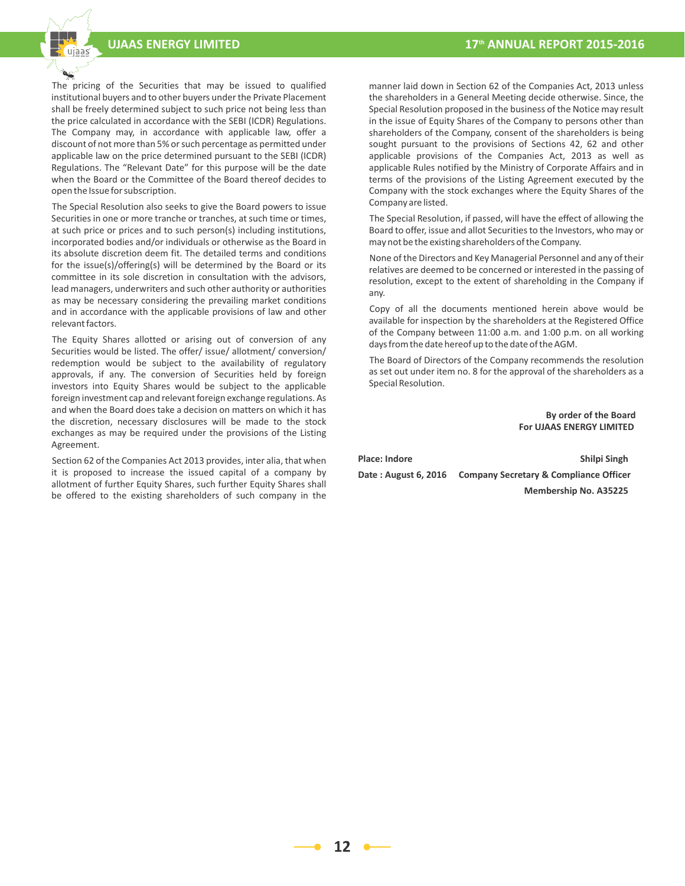The pricing of the Securities that may be issued to qualified institutional buyers and to other buyers under the Private Placement shall be freely determined subject to such price not being less than the price calculated in accordance with the SEBI (ICDR) Regulations. The Company may, in accordance with applicable law, offer a discount of not more than 5% or such percentage as permitted under applicable law on the price determined pursuant to the SEBI (ICDR) Regulations. The "Relevant Date" for this purpose will be the date when the Board or the Committee of the Board thereof decides to open the Issue for subscription.

 The Special Resolution also seeks to give the Board powers to issue Securities in one or more tranche or tranches, at such time or times, at such price or prices and to such person(s) including institutions, incorporated bodies and/or individuals or otherwise as the Board in its absolute discretion deem fit. The detailed terms and conditions for the issue(s)/offering(s) will be determined by the Board or its committee in its sole discretion in consultation with the advisors, lead managers, underwriters and such other authority or authorities as may be necessary considering the prevailing market conditions and in accordance with the applicable provisions of law and other relevant factors.

 The Equity Shares allotted or arising out of conversion of any Securities would be listed. The offer/ issue/ allotment/ conversion/ redemption would be subject to the availability of regulatory approvals, if any. The conversion of Securities held by foreign investors into Equity Shares would be subject to the applicable foreign investment cap and relevant foreign exchange regulations. As and when the Board does take a decision on matters on which it has the discretion, necessary disclosures will be made to the stock exchanges as may be required under the provisions of the Listing Agreement.

 Section 62 of the Companies Act 2013 provides, inter alia, that when it is proposed to increase the issued capital of a company by allotment of further Equity Shares, such further Equity Shares shall be offered to the existing shareholders of such company in the

manner laid down in Section 62 of the Companies Act, 2013 unless the shareholders in a General Meeting decide otherwise. Since, the Special Resolution proposed in the business of the Notice may result in the issue of Equity Shares of the Company to persons other than shareholders of the Company, consent of the shareholders is being sought pursuant to the provisions of Sections 42, 62 and other applicable provisions of the Companies Act, 2013 as well as applicable Rules notified by the Ministry of Corporate Affairs and in terms of the provisions of the Listing Agreement executed by the Company with the stock exchanges where the Equity Shares of the Company are listed.

 The Special Resolution, if passed, will have the effect of allowing the Board to offer, issue and allot Securities to the Investors, who may or may not be the existing shareholders of the Company.

 None of the Directors and Key Managerial Personnel and any of their relatives are deemed to be concerned or interested in the passing of resolution, except to the extent of shareholding in the Company if any.

 Copy of all the documents mentioned herein above would be available for inspection by the shareholders at the Registered Office of the Company between 11:00 a.m. and 1:00 p.m. on all working days from the date hereof up to the date of the AGM.

 The Board of Directors of the Company recommends the resolution as set out under item no. 8 for the approval of the shareholders as a Special Resolution.

> **By order of the Board For UJAAS ENERGY LIMITED**

Place: Indore **Shilpi Singh Date : August 6, 2016 Company Secretary & Compliance Officer Membership No. A35225**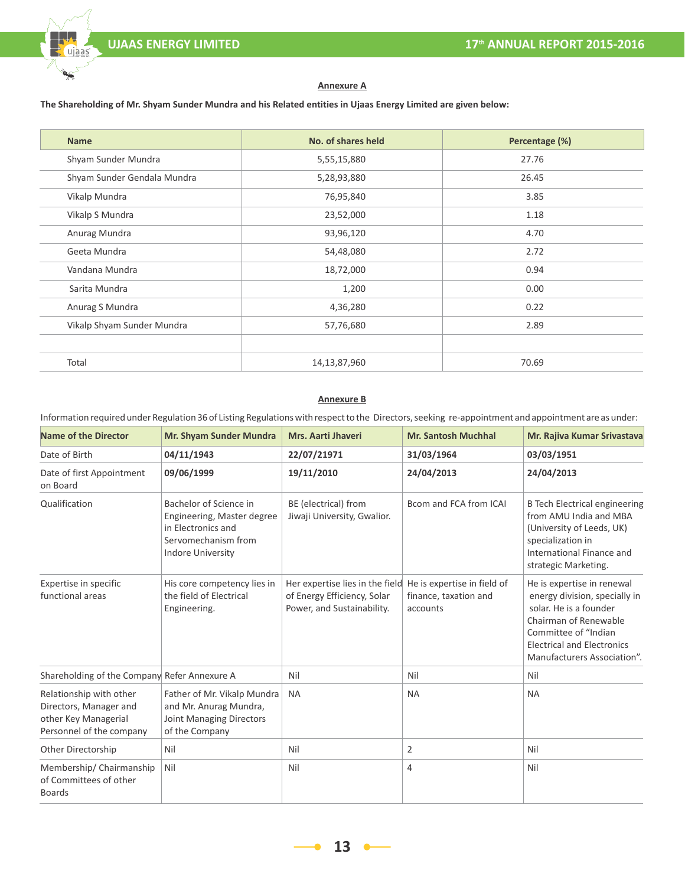#### **Annexure A**

# **The Shareholding of Mr. Shyam Sunder Mundra and his Related entities in Ujaas Energy Limited are given below:**

| No. of shares held<br>Percentage (%)<br><b>Name</b> |              |       |
|-----------------------------------------------------|--------------|-------|
| Shyam Sunder Mundra                                 | 5,55,15,880  | 27.76 |
| Shyam Sunder Gendala Mundra                         | 5,28,93,880  | 26.45 |
| Vikalp Mundra                                       | 76,95,840    | 3.85  |
| Vikalp S Mundra                                     | 23,52,000    | 1.18  |
| Anurag Mundra                                       | 93,96,120    | 4.70  |
| Geeta Mundra                                        | 54,48,080    | 2.72  |
| Vandana Mundra                                      | 18,72,000    | 0.94  |
| Sarita Mundra                                       | 1,200        | 0.00  |
| Anurag S Mundra                                     | 4,36,280     | 0.22  |
| Vikalp Shyam Sunder Mundra                          | 57,76,680    | 2.89  |
|                                                     |              |       |
| Total                                               | 14,13,87,960 | 70.69 |

# **Annexure B**

# Information required under Regulation 36 of Listing Regulations with respect to the Directors, seeking re-appointment and appointment are as under:

| <b>Name of the Director</b>                                                                           | Mr. Shyam Sunder Mundra                                                                                                       | Mrs. Aarti Jhaveri                                                                           | <b>Mr. Santosh Muchhal</b>                                       | Mr. Rajiva Kumar Srivastava                                                                                                                                                                                |
|-------------------------------------------------------------------------------------------------------|-------------------------------------------------------------------------------------------------------------------------------|----------------------------------------------------------------------------------------------|------------------------------------------------------------------|------------------------------------------------------------------------------------------------------------------------------------------------------------------------------------------------------------|
| Date of Birth                                                                                         | 04/11/1943                                                                                                                    | 22/07/21971                                                                                  | 31/03/1964                                                       | 03/03/1951                                                                                                                                                                                                 |
| Date of first Appointment<br>on Board                                                                 | 09/06/1999                                                                                                                    | 19/11/2010                                                                                   | 24/04/2013                                                       | 24/04/2013                                                                                                                                                                                                 |
| Qualification                                                                                         | Bachelor of Science in<br>Engineering, Master degree<br>in Electronics and<br>Servomechanism from<br><b>Indore University</b> | BE (electrical) from<br>Jiwaji University, Gwalior.                                          | Bcom and FCA from ICAI                                           | <b>B</b> Tech Electrical engineering<br>from AMU India and MBA<br>(University of Leeds, UK)<br>specialization in<br>International Finance and<br>strategic Marketing.                                      |
| Expertise in specific<br>functional areas                                                             | His core competency lies in<br>the field of Electrical<br>Engineering.                                                        | Her expertise lies in the field<br>of Energy Efficiency, Solar<br>Power, and Sustainability. | He is expertise in field of<br>finance, taxation and<br>accounts | He is expertise in renewal<br>energy division, specially in<br>solar. He is a founder<br>Chairman of Renewable<br>Committee of "Indian<br><b>Electrical and Electronics</b><br>Manufacturers Association". |
| Shareholding of the Company Refer Annexure A                                                          |                                                                                                                               | Nil                                                                                          | Nil                                                              | Nil                                                                                                                                                                                                        |
| Relationship with other<br>Directors, Manager and<br>other Key Managerial<br>Personnel of the company | Father of Mr. Vikalp Mundra<br>and Mr. Anurag Mundra,<br>Joint Managing Directors<br>of the Company                           | <b>NA</b>                                                                                    | <b>NA</b>                                                        | <b>NA</b>                                                                                                                                                                                                  |
| Other Directorship                                                                                    | Nil                                                                                                                           | Nil                                                                                          | 2                                                                | Nil                                                                                                                                                                                                        |
| Membership/Chairmanship<br>of Committees of other<br><b>Boards</b>                                    | Nil                                                                                                                           | Nil                                                                                          | 4                                                                | Nil                                                                                                                                                                                                        |

**13**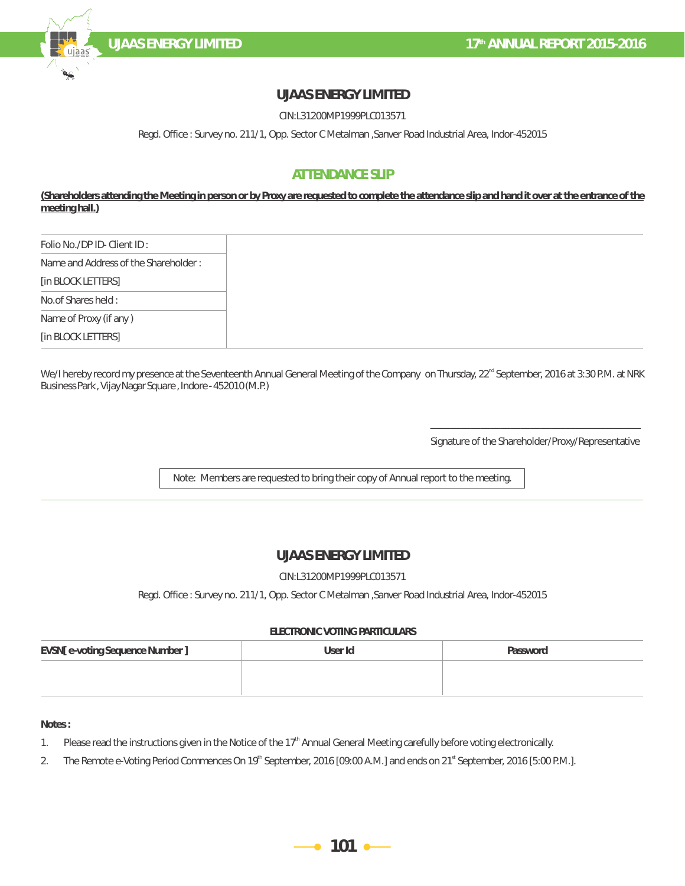

# **UJAAS ENERGY LIMITED**

CIN:L31200MP1999PLC013571

Regd. Office : Survey no. 211/1, Opp. Sector C Metalman ,Sanver Road Industrial Area, Indor-452015

# **ATTENDANCE SLIP**

(Shareholders attending the Meeting in person or by Proxy are requested to complete the attendance slip and hand it over at the entrance of the **meeting hall.)**

| Folio No./DP ID-Client ID:           |
|--------------------------------------|
| Name and Address of the Shareholder: |
| [in BLOCK LETTERS]                   |
| No.of Shares held:                   |
| Name of Proxy (if any)               |
| [in BLOCK LETTERS]                   |

We/I hereby record my presence at the Seventeenth Annual General Meeting of the Company on Thursday, 22<sup>rd</sup> September, 2016 at 3:30 P.M. at NRK Business Park , Vijay Nagar Square , Indore - 452010 (M.P.)

> \_\_\_\_\_\_\_\_\_\_\_\_\_\_\_\_\_\_\_\_\_\_\_\_\_\_\_\_\_\_\_\_\_\_\_\_\_\_\_\_\_\_ Signature of the Shareholder/Proxy/Representative

Note: Members are requested to bring their copy of Annual report to the meeting.

# **UJAAS ENERGY LIMITED**

### CIN:L31200MP1999PLC013571

Regd. Office : Survey no. 211/1, Opp. Sector C Metalman ,Sanver Road Industrial Area, Indor-452015

### **ELECTRONIC VOTING PARTICULARS**

| EVSN[e-voting Sequence Number] | User Id | Password |
|--------------------------------|---------|----------|
|                                |         |          |
|                                |         |          |

**Notes :**

1. Please read the instructions given in the Notice of the  $17<sup>th</sup>$  Annual General Meeting carefully before voting electronically.

2. The Remote e-Voting Period Commences On 19<sup>th</sup> September, 2016 [09:00 A.M.] and ends on 21<sup>st</sup> September, 2016 [5:00 P.M.].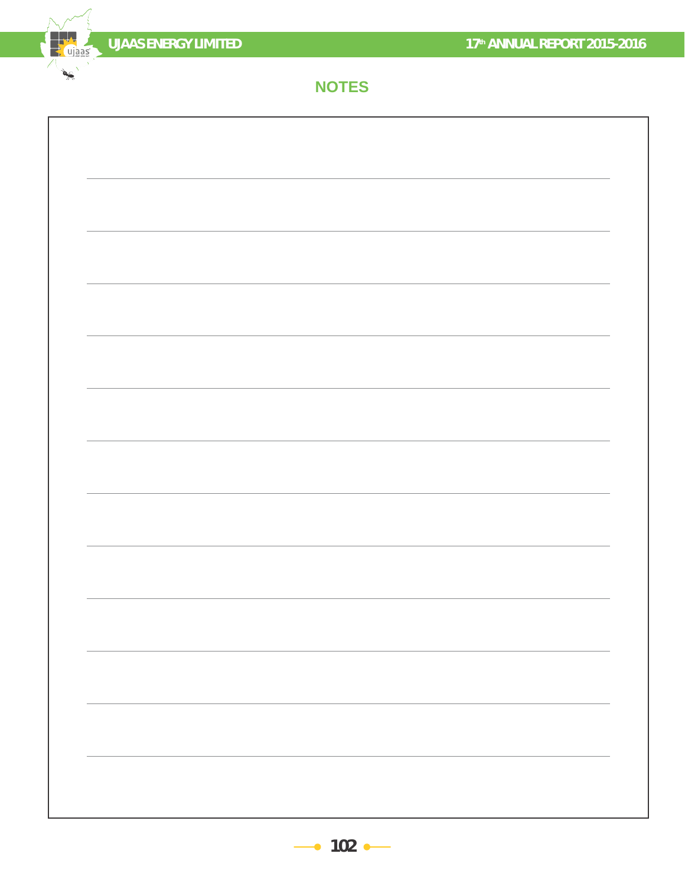

the ujaas

N  $\frac{1}{\sqrt{2}}\left( \frac{1}{\sqrt{2}}\right) ^{2}$ 

# **NOTES**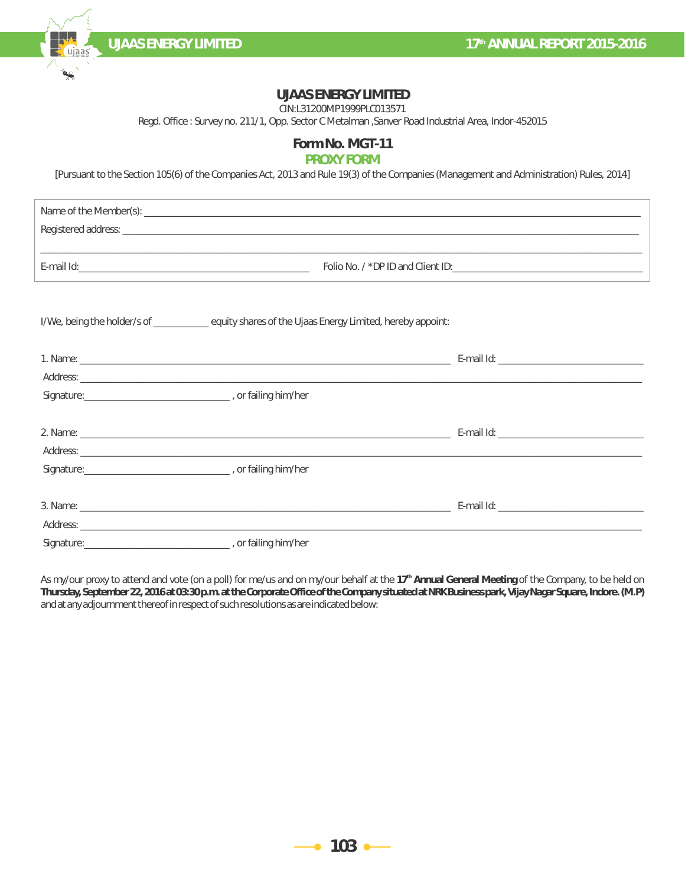**th UJAAS ENERGY LIMITED 17 ANNUAL REPORT 2015-2016**

# **UJAAS ENERGY LIMITED**

CIN:L31200MP1999PLC013571

Regd. Office : Survey no. 211/1, Opp. Sector C Metalman ,Sanver Road Industrial Area, Indor-452015

# **Form No. MGT-11**

# **PROXY FORM**

[Pursuant to the Section 105(6) of the Companies Act, 2013 and Rule 19(3) of the Companies (Management and Administration) Rules, 2014]

| Name of the Member(s): ____ |                                 |
|-----------------------------|---------------------------------|
|                             |                                 |
| ←-mail Id:_                 | Folio No. /*DPID and Client ID: |

| I/We, being the holder/s of _________________ equity shares of the Ujaas Energy Limited, hereby appoint: |  |
|----------------------------------------------------------------------------------------------------------|--|
|                                                                                                          |  |
|                                                                                                          |  |
|                                                                                                          |  |
|                                                                                                          |  |
|                                                                                                          |  |
|                                                                                                          |  |
|                                                                                                          |  |
|                                                                                                          |  |
|                                                                                                          |  |
|                                                                                                          |  |
|                                                                                                          |  |

As my/our proxy to attend and vote (on a poll) for me/us and on my/our behalf at the 17<sup>th</sup> Annual General Meeting of the Company, to be held on **Thursday, September 22, 2016 at 03:30 p.m. at the Corporate Office of the Company situated at NRK Business park, Vijay Nagar Square, Indore. (M.P)** and at any adjournment thereof in respect of such resolutions as are indicated below:

 $\bullet$  103 $\bullet$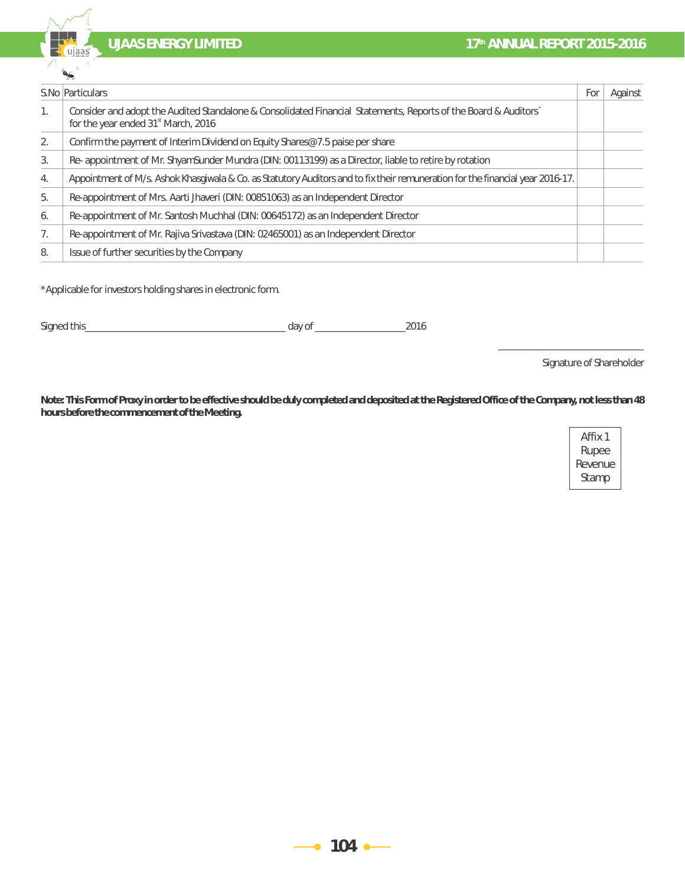**th 17<sup>th</sup> ANNUAL REPORT 2015-2016** 



|                | S. No Particulars                                                                                                                                                 | For | Against |
|----------------|-------------------------------------------------------------------------------------------------------------------------------------------------------------------|-----|---------|
| $\mathbf{1}$ . | Consider and adopt the Audited Standalone & Consolidated Financial Statements, Reports of the Board & Auditors<br>for the year ended 31 <sup>st</sup> March, 2016 |     |         |
| 2              | Confirm the payment of Interim Dividend on Equity Shares@ 7.5 paise per share                                                                                     |     |         |
| 3.             | Re-appointment of Mr. ShyamSunder Mundra (DIN: 00113199) as a Director, liable to retire by rotation                                                              |     |         |
| 4.             | Appointment of M/s. Ashok Khasgiwala & Co. as Statutory Auditors and to fix their remuneration for the financial year 2016-17.                                    |     |         |
| 5.             | Re-appointment of Mrs. Aarti Jhaveri (DIN: 00851063) as an Independent Director                                                                                   |     |         |
| 6.             | Re-appointment of Mr. Santosh Muchhal (DIN: 00645172) as an Independent Director                                                                                  |     |         |
| 7.             | Re-appointment of Mr. Rajiva Srivastava (DIN: 02465001) as an Independent Director                                                                                |     |         |
| 8.             | Issue of further securities by the Company                                                                                                                        |     |         |

\*Applicable for investors holding shares in electronic form.

Signed this\_\_\_\_\_\_\_\_\_\_\_\_\_\_\_\_\_\_\_\_\_\_\_\_\_\_\_\_\_\_\_\_\_\_\_\_\_\_\_\_ day of \_\_\_\_\_\_\_\_\_\_\_\_\_\_\_\_\_\_2016

Signature of Shareholder

 $\overline{\phantom{a}}$  ,  $\overline{\phantom{a}}$  ,  $\overline{\phantom{a}}$  ,  $\overline{\phantom{a}}$  ,  $\overline{\phantom{a}}$  ,  $\overline{\phantom{a}}$  ,  $\overline{\phantom{a}}$  ,  $\overline{\phantom{a}}$  ,  $\overline{\phantom{a}}$  ,  $\overline{\phantom{a}}$  ,  $\overline{\phantom{a}}$  ,  $\overline{\phantom{a}}$  ,  $\overline{\phantom{a}}$  ,  $\overline{\phantom{a}}$  ,  $\overline{\phantom{a}}$  ,  $\overline{\phantom{a}}$ 

**Note: This Form of Proxy in order to be effective should be duly completed and deposited at the Registered Office of the Company, not less than 48 hours before the commencement of the Meeting.**

| Affix 1 |
|---------|
| Rupee   |
| Revenue |
| Stamp   |